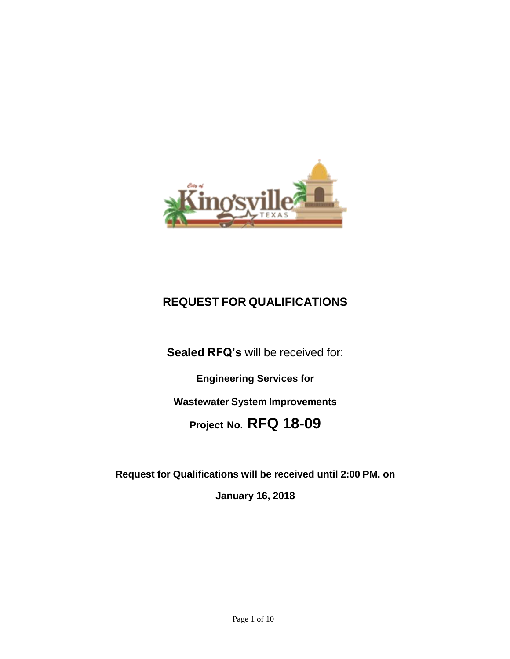

# **REQUEST FOR QUALIFICATIONS**

**Sealed RFQ's** will be received for:

**Engineering Services for Wastewater System Improvements Project No. RFQ 18-09**

**Request for Qualifications will be received until 2:00 PM. on**

**January 16, 2018**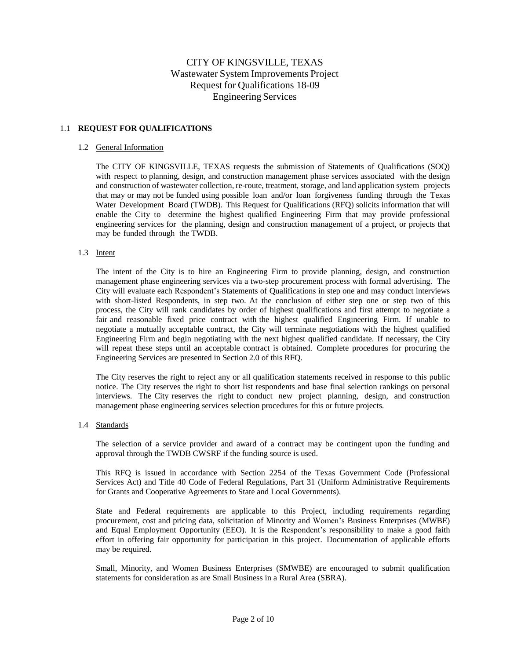# CITY OF KINGSVILLE, TEXAS Wastewater System Improvements Project Request for Qualifications 18-09 Engineering Services

# 1.1 **REQUEST FOR QUALIFICATIONS**

#### 1.2 General Information

The CITY OF KINGSVILLE, TEXAS requests the submission of Statements of Qualifications (SOQ) with respect to planning, design, and construction management phase services associated with the design and construction of wastewater collection, re-route, treatment, storage, and land application system projects that may or may not be funded using possible loan and/or loan forgiveness funding through the Texas Water Development Board (TWDB). This Request for Qualifications (RFQ) solicits information that will enable the City to determine the highest qualified Engineering Firm that may provide professional engineering services for the planning, design and construction management of a project, or projects that may be funded through the TWDB.

# 1.3 Intent

The intent of the City is to hire an Engineering Firm to provide planning, design, and construction management phase engineering services via a two-step procurement process with formal advertising. The City will evaluate each Respondent's Statements of Qualifications in step one and may conduct interviews with short-listed Respondents, in step two. At the conclusion of either step one or step two of this process, the City will rank candidates by order of highest qualifications and first attempt to negotiate a fair and reasonable fixed price contract with the highest qualified Engineering Firm. If unable to negotiate a mutually acceptable contract, the City will terminate negotiations with the highest qualified Engineering Firm and begin negotiating with the next highest qualified candidate. If necessary, the City will repeat these steps until an acceptable contract is obtained. Complete procedures for procuring the Engineering Services are presented in Section 2.0 of this RFQ.

The City reserves the right to reject any or all qualification statements received in response to this public notice. The City reserves the right to short list respondents and base final selection rankings on personal interviews. The City reserves the right to conduct new project planning, design, and construction management phase engineering services selection procedures for this or future projects.

#### 1.4 Standards

The selection of a service provider and award of a contract may be contingent upon the funding and approval through the TWDB CWSRF if the funding source is used.

This RFQ is issued in accordance with Section 2254 of the Texas Government Code (Professional Services Act) and Title 40 Code of Federal Regulations, Part 31 (Uniform Administrative Requirements for Grants and Cooperative Agreements to State and Local Governments).

State and Federal requirements are applicable to this Project, including requirements regarding procurement, cost and pricing data, solicitation of Minority and Women's Business Enterprises (MWBE) and Equal Employment Opportunity (EEO). It is the Respondent's responsibility to make a good faith effort in offering fair opportunity for participation in this project. Documentation of applicable efforts may be required.

Small, Minority, and Women Business Enterprises (SMWBE) are encouraged to submit qualification statements for consideration as are Small Business in a Rural Area (SBRA).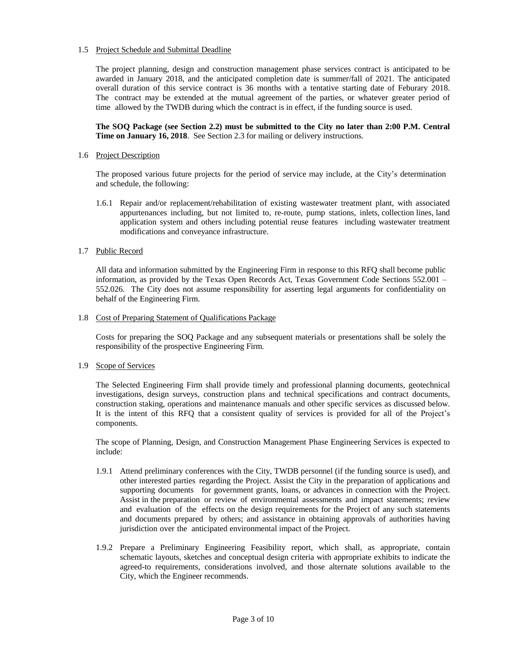# 1.5 Project Schedule and Submittal Deadline

The project planning, design and construction management phase services contract is anticipated to be awarded in January 2018, and the anticipated completion date is summer/fall of 2021. The anticipated overall duration of this service contract is 36 months with a tentative starting date of Feburary 2018. The contract may be extended at the mutual agreement of the parties, or whatever greater period of time allowed by the TWDB during which the contract is in effect, if the funding source is used.

**The SOQ Package (see Section 2.2) must be submitted to the City no later than 2:00 P.M. Central Time on January 16, 2018**. See Section 2.3 for mailing or delivery instructions.

#### 1.6 Project Description

The proposed various future projects for the period of service may include, at the City's determination and schedule, the following:

1.6.1 Repair and/or replacement/rehabilitation of existing wastewater treatment plant, with associated appurtenances including, but not limited to, re-route, pump stations, inlets, collection lines, land application system and others including potential reuse features including wastewater treatment modifications and conveyance infrastructure.

# 1.7 Public Record

All data and information submitted by the Engineering Firm in response to this RFQ shall become public information, as provided by the Texas Open Records Act, Texas Government Code Sections 552.001 – 552.026. The City does not assume responsibility for asserting legal arguments for confidentiality on behalf of the Engineering Firm.

# 1.8 Cost of Preparing Statement of Qualifications Package

Costs for preparing the SOQ Package and any subsequent materials or presentations shall be solely the responsibility of the prospective Engineering Firm.

# 1.9 Scope of Services

The Selected Engineering Firm shall provide timely and professional planning documents, geotechnical investigations, design surveys, construction plans and technical specifications and contract documents, construction staking, operations and maintenance manuals and other specific services as discussed below. It is the intent of this RFQ that a consistent quality of services is provided for all of the Project's components.

The scope of Planning, Design, and Construction Management Phase Engineering Services is expected to include:

- 1.9.1 Attend preliminary conferences with the City, TWDB personnel (if the funding source is used), and other interested parties regarding the Project. Assist the City in the preparation of applications and supporting documents for government grants, loans, or advances in connection with the Project. Assist in the preparation or review of environmental assessments and impact statements; review and evaluation of the effects on the design requirements for the Project of any such statements and documents prepared by others; and assistance in obtaining approvals of authorities having jurisdiction over the anticipated environmental impact of the Project.
- 1.9.2 Prepare a Preliminary Engineering Feasibility report, which shall, as appropriate, contain schematic layouts, sketches and conceptual design criteria with appropriate exhibits to indicate the agreed-to requirements, considerations involved, and those alternate solutions available to the City, which the Engineer recommends.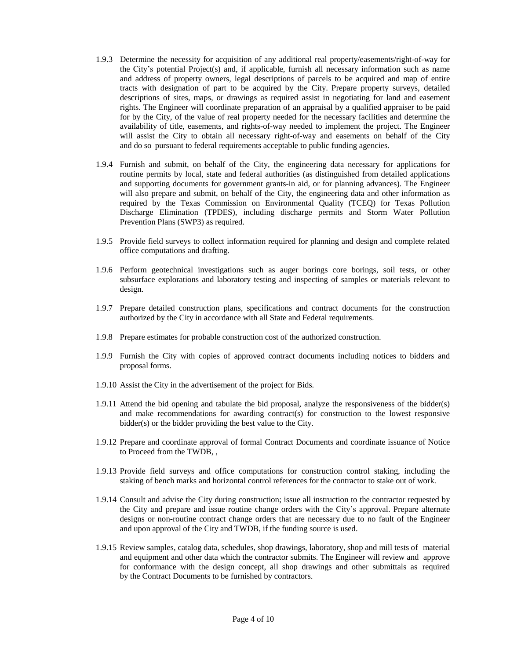- 1.9.3 Determine the necessity for acquisition of any additional real property/easements/right-of-way for the City's potential Project(s) and, if applicable, furnish all necessary information such as name and address of property owners, legal descriptions of parcels to be acquired and map of entire tracts with designation of part to be acquired by the City. Prepare property surveys, detailed descriptions of sites, maps, or drawings as required assist in negotiating for land and easement rights. The Engineer will coordinate preparation of an appraisal by a qualified appraiser to be paid for by the City, of the value of real property needed for the necessary facilities and determine the availability of title, easements, and rights-of-way needed to implement the project. The Engineer will assist the City to obtain all necessary right-of-way and easements on behalf of the City and do so pursuant to federal requirements acceptable to public funding agencies.
- 1.9.4 Furnish and submit, on behalf of the City, the engineering data necessary for applications for routine permits by local, state and federal authorities (as distinguished from detailed applications and supporting documents for government grants-in aid, or for planning advances). The Engineer will also prepare and submit, on behalf of the City, the engineering data and other information as required by the Texas Commission on Environmental Quality (TCEQ) for Texas Pollution Discharge Elimination (TPDES), including discharge permits and Storm Water Pollution Prevention Plans (SWP3) as required.
- 1.9.5 Provide field surveys to collect information required for planning and design and complete related office computations and drafting.
- 1.9.6 Perform geotechnical investigations such as auger borings core borings, soil tests, or other subsurface explorations and laboratory testing and inspecting of samples or materials relevant to design.
- 1.9.7 Prepare detailed construction plans, specifications and contract documents for the construction authorized by the City in accordance with all State and Federal requirements.
- 1.9.8 Prepare estimates for probable construction cost of the authorized construction.
- 1.9.9 Furnish the City with copies of approved contract documents including notices to bidders and proposal forms.
- 1.9.10 Assist the City in the advertisement of the project for Bids.
- 1.9.11 Attend the bid opening and tabulate the bid proposal, analyze the responsiveness of the bidder(s) and make recommendations for awarding contract(s) for construction to the lowest responsive bidder(s) or the bidder providing the best value to the City.
- 1.9.12 Prepare and coordinate approval of formal Contract Documents and coordinate issuance of Notice to Proceed from the TWDB, ,
- 1.9.13 Provide field surveys and office computations for construction control staking, including the staking of bench marks and horizontal control references for the contractor to stake out of work.
- 1.9.14 Consult and advise the City during construction; issue all instruction to the contractor requested by the City and prepare and issue routine change orders with the City's approval. Prepare alternate designs or non-routine contract change orders that are necessary due to no fault of the Engineer and upon approval of the City and TWDB, if the funding source is used.
- 1.9.15 Review samples, catalog data, schedules, shop drawings, laboratory, shop and mill tests of material and equipment and other data which the contractor submits. The Engineer will review and approve for conformance with the design concept, all shop drawings and other submittals as required by the Contract Documents to be furnished by contractors.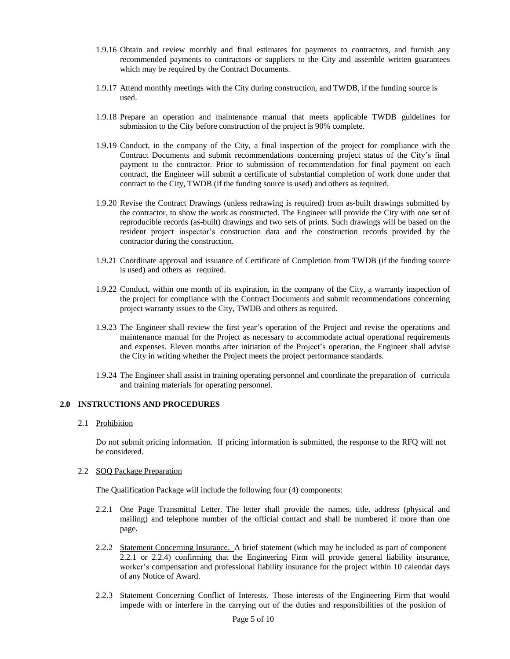- 1.9.16 Obtain and review monthly and final estimates for payments to contractors, and furnish any recommended payments to contractors or suppliers to the City and assemble written guarantees which may be required by the Contract Documents.
- 1.9.17 Attend monthly meetings with the City during construction, and TWDB, if the funding source is used.
- 1.9.18 Prepare an operation and maintenance manual that meets applicable TWDB guidelines for submission to the City before construction of the project is 90% complete.
- 1.9.19 Conduct, in the company of the City, a final inspection of the project for compliance with the Contract Documents and submit recommendations concerning project status of the City's final payment to the contractor. Prior to submission of recommendation for final payment on each contract, the Engineer will submit a certificate of substantial completion of work done under that contract to the City, TWDB (if the funding source is used) and others as required.
- 1.9.20 Revise the Contract Drawings (unless redrawing is required) from as-built drawings submitted by the contractor, to show the work as constructed. The Engineer will provide the City with one set of reproducible records (as-built) drawings and two sets of prints. Such drawings will be based on the resident project inspector's construction data and the construction records provided by the contractor during the construction.
- 1.9.21 Coordinate approval and issuance of Certificate of Completion from TWDB (if the funding source is used) and others as required.
- 1.9.22 Conduct, within one month of its expiration, in the company of the City, a warranty inspection of the project for compliance with the Contract Documents and submit recommendations concerning project warranty issues to the City, TWDB and others as required.
- 1.9.23 The Engineer shall review the first year's operation of the Project and revise the operations and maintenance manual for the Project as necessary to accommodate actual operational requirements and expenses. Eleven months after initiation of the Project's operation, the Engineer shall advise the City in writing whether the Project meets the project performance standards.
- 1.9.24 The Engineer shall assist in training operating personnel and coordinate the preparation of curricula and training materials for operating personnel.

#### **2.0 INSTRUCTIONS AND PROCEDURES**

#### 2.1 Prohibition

Do not submit pricing information. If pricing information is submitted, the response to the RFQ will not be considered.

# 2.2 SOQ Package Preparation

The Qualification Package will include the following four (4) components:

- 2.2.1 One Page Transmittal Letter. The letter shall provide the names, title, address (physical and mailing) and telephone number of the official contact and shall be numbered if more than one page.
- 2.2.2 Statement Concerning Insurance. A brief statement (which may be included as part of component 2.2.1 or 2.2.4) confirming that the Engineering Firm will provide general liability insurance, worker's compensation and professional liability insurance for the project within 10 calendar days of any Notice of Award.
- 2.2.3 Statement Concerning Conflict of Interests. Those interests of the Engineering Firm that would impede with or interfere in the carrying out of the duties and responsibilities of the position of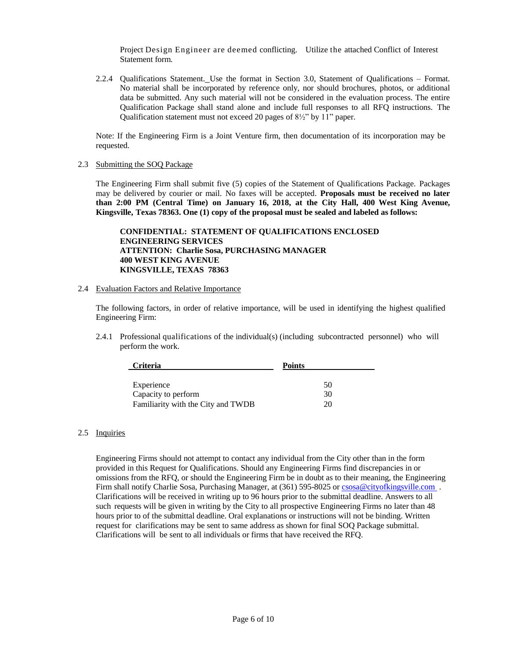Project Design Engineer are deemed conflicting. Utilize the attached Conflict of Interest Statement form.

2.2.4 Qualifications Statement. Use the format in Section 3.0, Statement of Qualifications – Format. No material shall be incorporated by reference only, nor should brochures, photos, or additional data be submitted. Any such material will not be considered in the evaluation process. The entire Qualification Package shall stand alone and include full responses to all RFQ instructions. The Qualification statement must not exceed 20 pages of 8½" by 11" paper.

Note: If the Engineering Firm is a Joint Venture firm, then documentation of its incorporation may be requested.

2.3 Submitting the SOQ Package

The Engineering Firm shall submit five (5) copies of the Statement of Qualifications Package. Packages may be delivered by courier or mail. No faxes will be accepted. **Proposals must be received no later than 2:00 PM (Central Time) on January 16, 2018, at the City Hall, 400 West King Avenue, Kingsville, Texas 78363. One (1) copy of the proposal must be sealed and labeled as follows:**

**CONFIDENTIAL: STATEMENT OF QUALIFICATIONS ENCLOSED ENGINEERING SERVICES ATTENTION: Charlie Sosa, PURCHASING MANAGER 400 WEST KING AVENUE KINGSVILLE, TEXAS 78363**

# 2.4 Evaluation Factors and Relative Importance

The following factors, in order of relative importance, will be used in identifying the highest qualified Engineering Firm:

2.4.1 Professional qualifications of the individual(s) (including subcontracted personnel) who will perform the work.

| <b>Criteria</b>                    | <b>Points</b> |
|------------------------------------|---------------|
|                                    |               |
| Experience                         | 50            |
| Capacity to perform                | 30            |
| Familiarity with the City and TWDB | 20            |

# 2.5 Inquiries

Engineering Firms should not attempt to contact any individual from the City other than in the form provided in this Request for Qualifications. Should any Engineering Firms find discrepancies in or omissions from the RFQ, or should the Engineering Firm be in doubt as to their meaning, the Engineering Firm shall notify Charlie Sosa, Purchasing Manager, at (361) 595-8025 or [csosa@cityofkingsville.com](mailto:csosa@cityofkingsville.com) . Clarifications will be received in writing up to 96 hours prior to the submittal deadline. Answers to all such requests will be given in writing by the City to all prospective Engineering Firms no later than 48 hours prior to of the submittal deadline. Oral explanations or instructions will not be binding. Written request for clarifications may be sent to same address as shown for final SOQ Package submittal. Clarifications will be sent to all individuals or firms that have received the RFQ.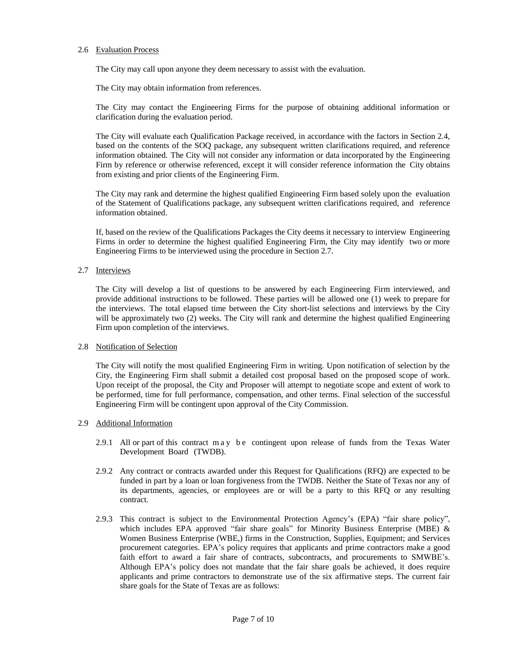# 2.6 Evaluation Process

The City may call upon anyone they deem necessary to assist with the evaluation.

The City may obtain information from references.

The City may contact the Engineering Firms for the purpose of obtaining additional information or clarification during the evaluation period.

The City will evaluate each Qualification Package received, in accordance with the factors in Section 2.4, based on the contents of the SOQ package, any subsequent written clarifications required, and reference information obtained. The City will not consider any information or data incorporated by the Engineering Firm by reference or otherwise referenced, except it will consider reference information the City obtains from existing and prior clients of the Engineering Firm.

The City may rank and determine the highest qualified Engineering Firm based solely upon the evaluation of the Statement of Qualifications package, any subsequent written clarifications required, and reference information obtained.

If, based on the review of the Qualifications Packages the City deems it necessary to interview Engineering Firms in order to determine the highest qualified Engineering Firm, the City may identify two or more Engineering Firms to be interviewed using the procedure in Section 2.7.

# 2.7 Interviews

The City will develop a list of questions to be answered by each Engineering Firm interviewed, and provide additional instructions to be followed. These parties will be allowed one (1) week to prepare for the interviews. The total elapsed time between the City short-list selections and interviews by the City will be approximately two (2) weeks. The City will rank and determine the highest qualified Engineering Firm upon completion of the interviews.

# 2.8 Notification of Selection

The City will notify the most qualified Engineering Firm in writing. Upon notification of selection by the City, the Engineering Firm shall submit a detailed cost proposal based on the proposed scope of work. Upon receipt of the proposal, the City and Proposer will attempt to negotiate scope and extent of work to be performed, time for full performance, compensation, and other terms. Final selection of the successful Engineering Firm will be contingent upon approval of the City Commission.

#### 2.9 Additional Information

- 2.9.1 All or part of this contract may be contingent upon release of funds from the Texas Water Development Board (TWDB).
- 2.9.2 Any contract or contracts awarded under this Request for Qualifications (RFQ) are expected to be funded in part by a loan or loan forgiveness from the TWDB. Neither the State of Texas nor any of its departments, agencies, or employees are or will be a party to this RFQ or any resulting contract.
- 2.9.3 This contract is subject to the Environmental Protection Agency's (EPA) "fair share policy", which includes EPA approved "fair share goals" for Minority Business Enterprise (MBE) & Women Business Enterprise (WBE,) firms in the Construction, Supplies, Equipment; and Services procurement categories. EPA's policy requires that applicants and prime contractors make a good faith effort to award a fair share of contracts, subcontracts, and procurements to SMWBE's. Although EPA's policy does not mandate that the fair share goals be achieved, it does require applicants and prime contractors to demonstrate use of the six affirmative steps. The current fair share goals for the State of Texas are as follows: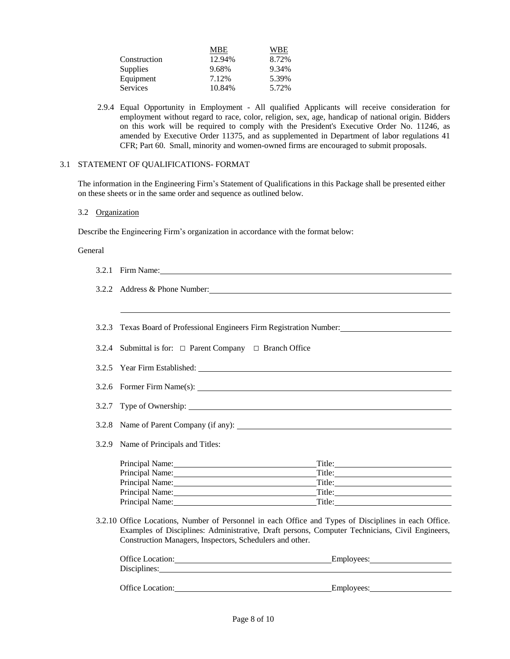|                 | MBE    | WBE   |
|-----------------|--------|-------|
| Construction    | 12.94% | 8.72% |
| <b>Supplies</b> | 9.68%  | 9.34% |
| Equipment       | 7.12%  | 5.39% |
| <b>Services</b> | 10.84% | 5.72% |

2.9.4 Equal Opportunity in Employment - All qualified Applicants will receive consideration for employment without regard to race, color, religion, sex, age, handicap of national origin. Bidders on this work will be required to comply with the President's Executive Order No. 11246, as amended by Executive Order 11375, and as supplemented in Department of labor regulations 41 CFR; Part 60. Small, minority and women-owned firms are encouraged to submit proposals.

# 3.1 STATEMENT OF QUALIFICATIONS- FORMAT

The information in the Engineering Firm's Statement of Qualifications in this Package shall be presented either on these sheets or in the same order and sequence as outlined below.

#### 3.2 Organization

Describe the Engineering Firm's organization in accordance with the format below:

#### General

| 3.2.1 Firm Name:                                                                                                                                                                                                                                                   |  |  |  |  |
|--------------------------------------------------------------------------------------------------------------------------------------------------------------------------------------------------------------------------------------------------------------------|--|--|--|--|
| 3.2.2 Address & Phone Number:                                                                                                                                                                                                                                      |  |  |  |  |
|                                                                                                                                                                                                                                                                    |  |  |  |  |
| 3.2.3 Texas Board of Professional Engineers Firm Registration Number: _____________________________                                                                                                                                                                |  |  |  |  |
| 3.2.4 Submittal is for: □ Parent Company □ Branch Office                                                                                                                                                                                                           |  |  |  |  |
|                                                                                                                                                                                                                                                                    |  |  |  |  |
| 3.2.6 Former Firm Name(s):                                                                                                                                                                                                                                         |  |  |  |  |
|                                                                                                                                                                                                                                                                    |  |  |  |  |
|                                                                                                                                                                                                                                                                    |  |  |  |  |
| 3.2.9 Name of Principals and Titles:                                                                                                                                                                                                                               |  |  |  |  |
| Principal Name: 1988 and 1989 and 1989 and 1989 and 1989 and 1989 and 1989 and 1989 and 1989 and 1989 and 1989 and 1989 and 1989 and 1989 and 1989 and 1989 and 1989 and 1989 and 1989 and 1989 and 1989 and 1989 and 1989 and<br>Principal Name: 1997             |  |  |  |  |
| Title:<br>Principal Name: Name: Name: Name: Name: Name: Name: Name: Name: Name: Name: Name: Name: Name: Name: Name: Name: Name: Name: Name: Name: Name: Name: Name: Name: Name: Name: Name: Name: Name: Name: Name: Name: Name: Name: Na<br>Title:                 |  |  |  |  |
| Principal Name: Manual Manual Alexander and Manual Alexander and Manual Alexander and Manual Alexander and Manual Alexander and Manual Alexander and Manual Alexander and Manual Alexander and Manual Alexander and Manual Ale<br>Title: Title:                    |  |  |  |  |
| Principal Name: Manual Manual Alexander and Manual Alexander and Manual Alexander and Manual Alexander and Manual Alexander and Manual Alexander and Manual Alexander and Manual Alexander and Manual Alexander and Manual Ale                                     |  |  |  |  |
| 3.2.10 Office Locations, Number of Personnel in each Office and Types of Disciplines in each Office.<br>Examples of Disciplines: Administrative, Draft persons, Computer Technicians, Civil Engineers,<br>Construction Managers, Inspectors, Schedulers and other. |  |  |  |  |
| Office Location:<br>Employees: 2000                                                                                                                                                                                                                                |  |  |  |  |
| Disciplines:                                                                                                                                                                                                                                                       |  |  |  |  |
|                                                                                                                                                                                                                                                                    |  |  |  |  |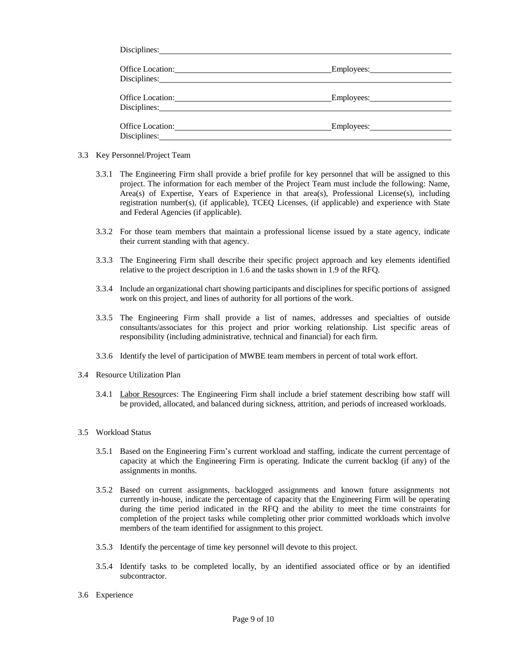| Disciplines: No. 1996. The Contract of the Contract of the Contract of the Contract of the Contract of the Contract of the Contract of the Contract of the Contract of the Contract of the Contract of the Contract of the Con                                                                                                                                                                                                                                   |  |
|------------------------------------------------------------------------------------------------------------------------------------------------------------------------------------------------------------------------------------------------------------------------------------------------------------------------------------------------------------------------------------------------------------------------------------------------------------------|--|
| Office Location:<br>Disciplines: No. 1996. The Communication of the Communication of the Communication of the Communication of the Communication of the Communication of the Communication of the Communication of the Communication of the Commun                                                                                                                                                                                                               |  |
| Office Location: New York Contract of the Contract of the Contract of the Contract of the Contract of the Contract of the Contract of the Contract of the Contract of the Contract of the Contract of the Contract of the Cont<br>Disciplines: 2000 and 2000 and 2000 and 2000 and 2000 and 2000 and 2000 and 2000 and 2000 and 2000 and 2000 and 2000 and 2000 and 2000 and 2000 and 2000 and 2000 and 2000 and 2000 and 2000 and 2000 and 2000 and 2000 and 20 |  |
| Disciplines:                                                                                                                                                                                                                                                                                                                                                                                                                                                     |  |

- 3.3 Key Personnel/Project Team
	- 3.3.1 The Engineering Firm shall provide a brief profile for key personnel that will be assigned to this project. The information for each member of the Project Team must include the following: Name, Area(s) of Expertise, Years of Experience in that area(s), Professional License(s), including registration number(s), (if applicable), TCEQ Licenses, (if applicable) and experience with State and Federal Agencies (if applicable).
	- 3.3.2 For those team members that maintain a professional license issued by a state agency, indicate their current standing with that agency.
	- 3.3.3 The Engineering Firm shall describe their specific project approach and key elements identified relative to the project description in 1.6 and the tasks shown in 1.9 of the RFQ.
	- 3.3.4 Include an organizational chart showing participants and disciplines for specific portions of assigned work on this project, and lines of authority for all portions of the work.
	- 3.3.5 The Engineering Firm shall provide a list of names, addresses and specialties of outside consultants/associates for this project and prior working relationship. List specific areas of responsibility (including administrative, technical and financial) for each firm.
	- 3.3.6 Identify the level of participation of MWBE team members in percent of total work effort.
- 3.4 Resource Utilization Plan
	- 3.4.1 Labor Resources: The Engineering Firm shall include a brief statement describing how staff will be provided, allocated, and balanced during sickness, attrition, and periods of increased workloads.

#### 3.5 Workload Status

- 3.5.1 Based on the Engineering Firm's current workload and staffing, indicate the current percentage of capacity at which the Engineering Firm is operating. Indicate the current backlog (if any) of the assignments in months.
- 3.5.2 Based on current assignments, backlogged assignments and known future assignments not currently in-house, indicate the percentage of capacity that the Engineering Firm will be operating during the time period indicated in the RFQ and the ability to meet the time constraints for completion of the project tasks while completing other prior committed workloads which involve members of the team identified for assignment to this project.
- 3.5.3 Identify the percentage of time key personnel will devote to this project.
- 3.5.4 Identify tasks to be completed locally, by an identified associated office or by an identified subcontractor.
- 3.6 Experience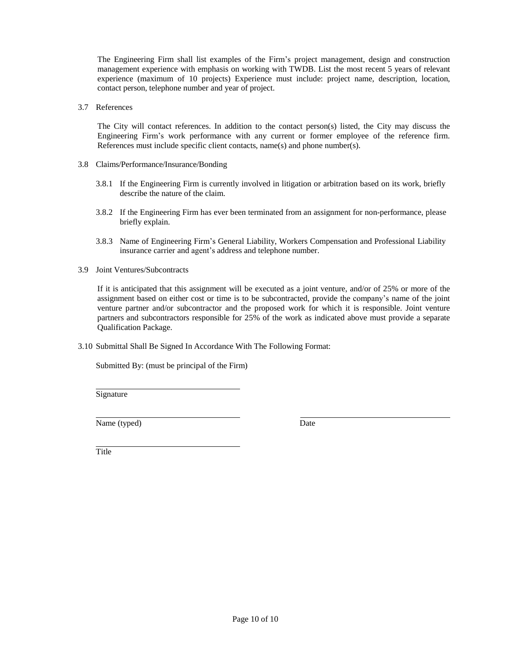The Engineering Firm shall list examples of the Firm's project management, design and construction management experience with emphasis on working with TWDB. List the most recent 5 years of relevant experience (maximum of 10 projects) Experience must include: project name, description, location, contact person, telephone number and year of project.

3.7 References

The City will contact references. In addition to the contact person(s) listed, the City may discuss the Engineering Firm's work performance with any current or former employee of the reference firm. References must include specific client contacts, name(s) and phone number(s).

- 3.8 Claims/Performance/Insurance/Bonding
	- 3.8.1 If the Engineering Firm is currently involved in litigation or arbitration based on its work, briefly describe the nature of the claim.
	- 3.8.2 If the Engineering Firm has ever been terminated from an assignment for non-performance, please briefly explain.
	- 3.8.3 Name of Engineering Firm's General Liability, Workers Compensation and Professional Liability insurance carrier and agent's address and telephone number.
- 3.9 Joint Ventures/Subcontracts

If it is anticipated that this assignment will be executed as a joint venture, and/or of 25% or more of the assignment based on either cost or time is to be subcontracted, provide the company's name of the joint venture partner and/or subcontractor and the proposed work for which it is responsible. Joint venture partners and subcontractors responsible for 25% of the work as indicated above must provide a separate Qualification Package.

3.10 Submittal Shall Be Signed In Accordance With The Following Format:

Submitted By: (must be principal of the Firm)

Signature

Name (typed) Date

Title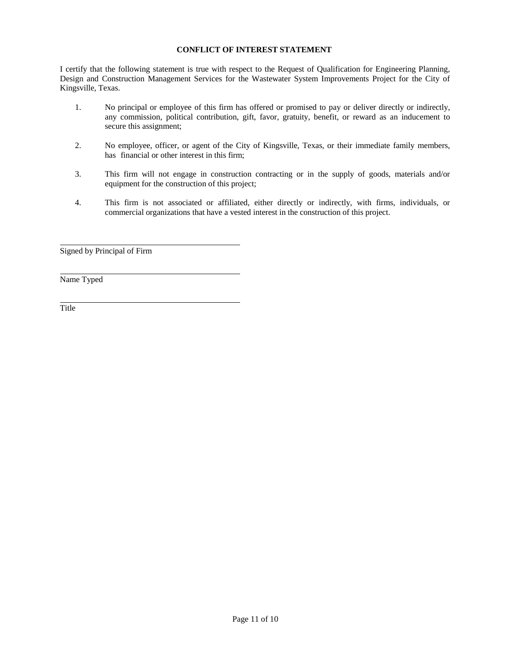# **CONFLICT OF INTEREST STATEMENT**

I certify that the following statement is true with respect to the Request of Qualification for Engineering Planning, Design and Construction Management Services for the Wastewater System Improvements Project for the City of Kingsville, Texas.

- 1. No principal or employee of this firm has offered or promised to pay or deliver directly or indirectly, any commission, political contribution, gift, favor, gratuity, benefit, or reward as an inducement to secure this assignment;
- 2. No employee, officer, or agent of the City of Kingsville, Texas, or their immediate family members, has financial or other interest in this firm;
- 3. This firm will not engage in construction contracting or in the supply of goods, materials and/or equipment for the construction of this project;
- 4. This firm is not associated or affiliated, either directly or indirectly, with firms, individuals, or commercial organizations that have a vested interest in the construction of this project.

Signed by Principal of Firm

Name Typed

**Title**